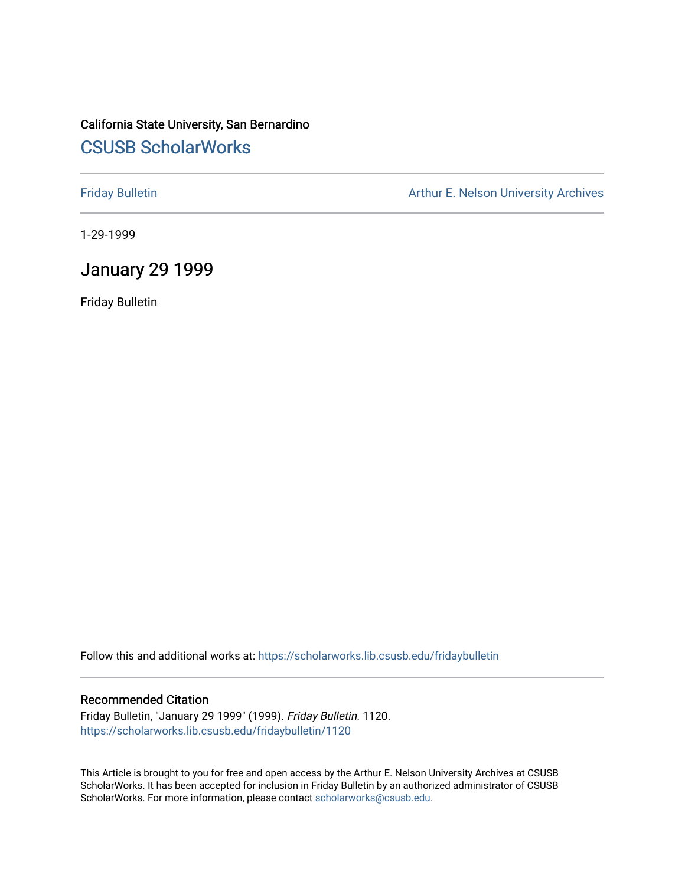## California State University, San Bernardino [CSUSB ScholarWorks](https://scholarworks.lib.csusb.edu/)

[Friday Bulletin](https://scholarworks.lib.csusb.edu/fridaybulletin) **Arthur E. Nelson University Archives** Arthur E. Nelson University Archives

1-29-1999

### January 29 1999

Friday Bulletin

Follow this and additional works at: [https://scholarworks.lib.csusb.edu/fridaybulletin](https://scholarworks.lib.csusb.edu/fridaybulletin?utm_source=scholarworks.lib.csusb.edu%2Ffridaybulletin%2F1120&utm_medium=PDF&utm_campaign=PDFCoverPages)

#### Recommended Citation

Friday Bulletin, "January 29 1999" (1999). Friday Bulletin. 1120. [https://scholarworks.lib.csusb.edu/fridaybulletin/1120](https://scholarworks.lib.csusb.edu/fridaybulletin/1120?utm_source=scholarworks.lib.csusb.edu%2Ffridaybulletin%2F1120&utm_medium=PDF&utm_campaign=PDFCoverPages) 

This Article is brought to you for free and open access by the Arthur E. Nelson University Archives at CSUSB ScholarWorks. It has been accepted for inclusion in Friday Bulletin by an authorized administrator of CSUSB ScholarWorks. For more information, please contact [scholarworks@csusb.edu.](mailto:scholarworks@csusb.edu)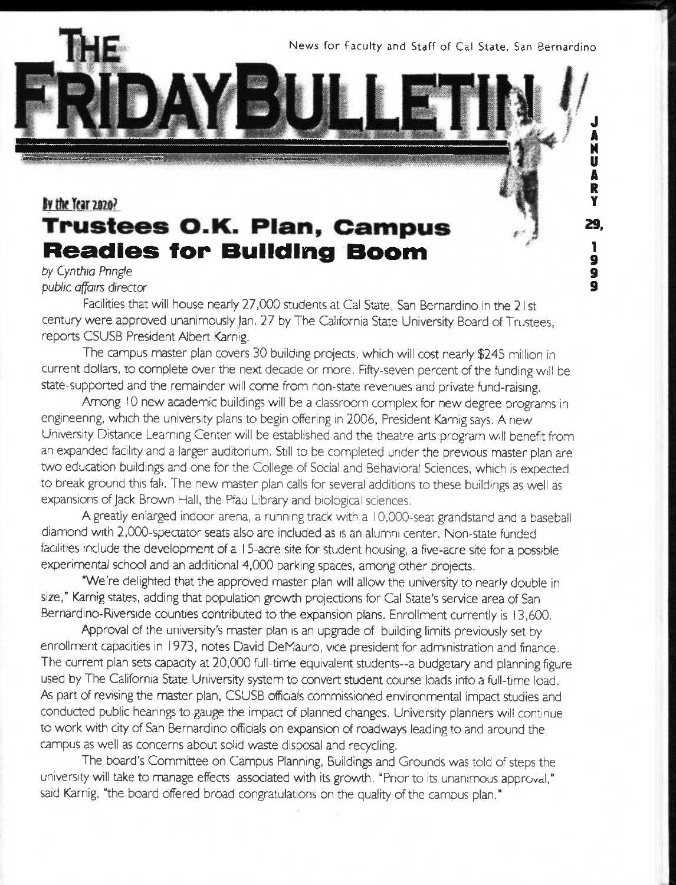News for Faculty and Staff of Cal State, San Bernardino

**J A**  H **U A**  R **Y 29.** 

> **9 9 9**

# By the Year 2020? **Trustees O.K. Plan, Campus<br>Readies for Building Boom**

#### *by Cynthia Piingfe public affairs director*

Facilities that will house nearly 27,000 students at Cal State, San Bernardino in the 21 st century were approved unaninnously Jan. 27 by The California State University Board of Trustees, reports CSUSB President Albert Karnig.

The campus master plan covers 30 building projects, which will cost nearly \$245 million in current dollars, to complete over the next decade or more. Fifty-seven percent of the funding will be state-supported and the remainder will come from non-state revenues and private fund-raising.

Among 10 new academic buildings will be a classroom complex for new degree programs in engineering, which the university plans to begin offering in 2006, President Karnig says. A new University Distance Learning Center will be established and the theatre arts program will benefit from an expanded facility and a larger auditorium. Still to be completed under the previous master plan are two education buildings and one for the College of Social and Behavioral Sciences, which is expected to break ground this fall. The new master plan calls for several additions to these buildings as well as expansions of jack Brown Hall, the Pfau Library and biological sciences.

A greatly enlarged indoor arena, a running track with a 10,000-seat grandstand and a baseball diannond with 2,000-spectator seats also are included as is an alumni center. Non-state funded facilities include the development of a 15-acre site for student housing, a five-acre site for a possible experimental school and an additional 4,000 parking spaces, among other projects.

"We're delighted that the approved master plan will allow the university to nearly double in size," Karnig states, adding that population growth projections for Cal State's service area of San Bernardino-Riverside counties contributed to the expansion plans. Enrollment currently is 13,600.

Approval of the university's master plan is an upgrade of building limits previously set by enrollment capacities in 1973, notes David DeMauro, vice president for administration and finance. The current plan sets capacity at 20,000 full-time equivalent students-a budgetary and planning figure used by The California State University system to convert student course loads into a full-time load. As part of revising the master plan, CSUSB officials commissioned environmental impact studies and conducted public hearings to gauge the impact of planned changes. University planners will continue to work with city of San Bernardino officials on expansion of roadways leading to and around the campus as well as concerns about solid waste disposal and recycling.

The board's Committee on Campus Planning, Buildings and Grounds was told of steps the university will take to manage effects associated with its growth. "Prior to its unanimous approval," said Karnig, "the board offered broad congratulations on the quality of the campus plan."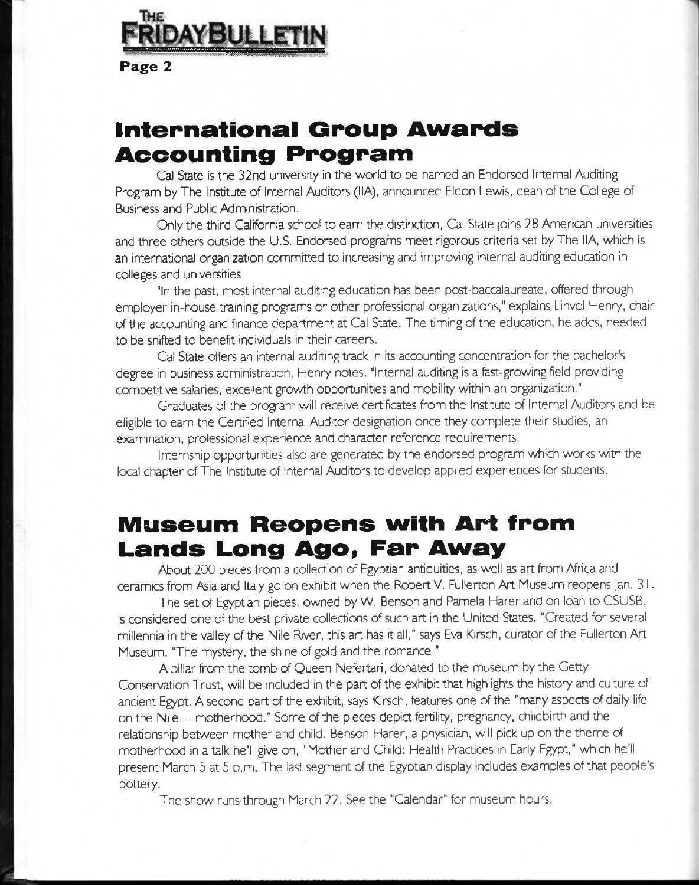

**Page 2** 

# **International Group Awards Accounting Program**

Cal State is the 32nd university in the world to be named an Endorsed Internal Auditing Program by The Institute of Internal Auditors (HA), announced Eldon Lewis, dean of the College of Business and Public Administration.

Only the third California school to earn the distinction, Cal State joins 28 American universities and three others outside the U.S. Endorsed programs meet rigorous criteria set by The HA, which is an international organization committed to increasing and improving internal auditing education in colleges and universities,

"In the past, most internal auditing education has been post-baccalaureate, offered through employer in-house training programs or other professional organizations," explains Linvol Henry, chair of the accounting and finance department at Cal State. The timing of the education, he adds, needed to be shifted to benefit individuals in their careers.

Cal State offers an internal auditing track in its accounting concentration for the bachelor's degree in business administration, Henry notes. "Internal auditing is a fest-growing field providing competitive salaries, excellent growth opportunities and mobility within an organization,"

Graduates of the program will receive certificates from the Institute of Internal Auditors and be eligible to earn the Certified Internal Auditor designation once they complete their studies, an examination, professional experience and character reference requirements.

Internship opportunities also are generated by the endorsed program which works with the local chapter of The institute of Internal Auditors to develop applied experiences for students.

# **Museum Reopens with Art from Lands Long Ago, Far Away**

About 200 pieces from a collection of Egyptian antiquities, as well as art from Africa and ceramics from Asia and Italy go on exhibit when the Robert V. Fullerton Art Museum reopens Jan. 3!.

The set of Egyptian pieces, owned by W. Benson and Pamela Harer and on loan to CSUSB, is considered one of the best private collections of such art in the United States. "Created for several millennia in the valley of the Nile River, this art has it all," says Eva Kirsch, curator of the Fullerton Art Museum. "The mystery, the shine of gold and the romance."

A pillar from the tomb of Queen Nefertari, donated to the museum by the Getty Gonservation Trust, will be included in the part of the exhibit that highlights the history and culture of ancient Egypt. A second part of the exhibit, says Kirsch, features one of the "many aspects of daily life on the Nile - motherhood." Some of the pieces depia fertility, pregnancy, childbirth and the relationship between mother and child. Benson Harer, a physician, will pick up on the theme of motherhood in a talk he'll give on, "Mother and Child: Health Practices in Early Egypt," which he'll present March 5 at 5 p.m. The last segment of the Egyptian display includes examples of that people's pottery.

The show runs through March 22. See the "Calendar" for museum hours.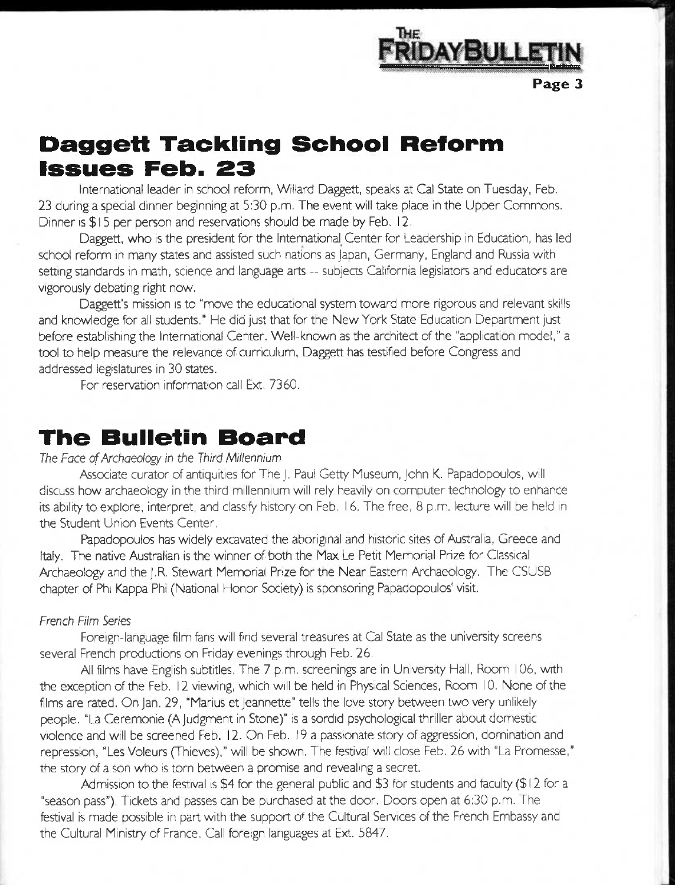

# **Daggett Tackling School Reform issues Feb. 23**

International leader in school reform, Willard Daggett, speaks at Cal State on Tuesday, Feb. *23* during a special dinner beginning at 5:30 p.m. The event will take place in the Upper Commons. Dinner is \$15 per person and reservations should be made by Feb. 12.

Daggett, who is the president for the International Center for Leadership in Education, has led school reform in many states and assisted such nations as Japan, Germany, England and Russia with setting standards in math, science and language arts -- subjects California legislators and educators are vigorously debating right now.

Daggett's mission is to "move the educational system toward more rigorous and relevant skills and knowledge for all students." He did just that for the New York State Education Department just before establishing the International Center. Well-known as the architect of the "application model." a tool to help measure the relevance of curriculum. Daggett has testified before Congress and addressed legislatures in 30 states.

For reservation information call Ext. 7360.

### **The Bulletin Board**

#### *The Face of Archaeology in the Third Millennium*

Associate curator of antiquities for The j. Paul Getty Museum, John K. Papadopoulos, will discuss how archaeology in the third millennium will rely heavily on computer technology to enhance its ability to explore, interpret, and classify history on Feb. 16. The free, 8 p.m. lecture will be held in the Student Union Events Center,

Papadopoulos has widely excavated the aboriginal and historic sites of Australia, Greece and Italy. The native Australian is the winner of both the Max Le Petit Memorial Prize for Classical Archaeology and the J.R. Stewart Memorial Prize for the Near Eastern Archaeology. The CSUSB chapter of Phi Kappa Phi (National Honor Society) is sponsoring Papadopoulos' visit.

#### *French Film Series*

Foreign-language film fans will find several treasures at Cal State as the university screens several French productions on Friday evenings through Feb. 26.

Al films have English subtitles. The 7 p.m. screenings are in University Hall, Room 106, with the exception of the Feb. 12 viewing, which will be held in Physical Sciences, Room 10. None of the films are rated. On Jan. 29, "Marius et Jeannette" tells the love story between two very unlikely people. "La Ceremonie (A Judgment in Stone)" is a sordid psychological thriller about domestic violence and will be screened Feb. 12. On Feb. 19 a passionate story of aggression, domination and repression, "Les Voleurs (Thieves)," will be shown. The festival will close Feb. 26 with "La Promesse," the story of a son who is torn between a promise and revealing a secret.

Admission to the festival is \$4 for the general public and \$3 for students and faculty (\$ 12 for a "season pass"). Tickets and passes can be purchased at the door. Doors open at 6:30 p.m. The festival is made possible in part with the support of the Cultural Services of the French Embassy and the Cultural Ministry of France. Call foreign languages at Ext. 5847.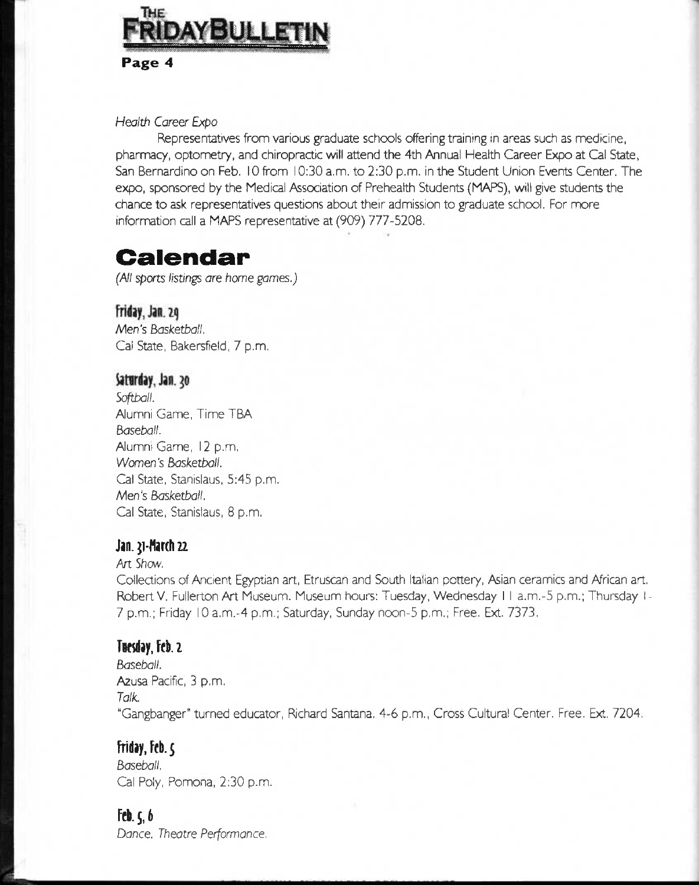

### *Health Career Expo*

Representatives from various graduate schools offering training in areas such as medicine, pharmacy, optometry, and chiropractic will attend the 4th Annual Health Career Expo at Cal State, San Bernardino on Feb. 10 from 10:30 a.m. to 2:30 p.m. in the Student Union Events Center. The expo, sponsored by the Medical Association of Preheaith Students (MAPS), wilt give students the chance to ask representatives questions about their admission to graduate school. For more information call a MAPS representative at (909) 777-5208.

# **Calendar**

*(All sports listings are home games.)* 

Friday, Jan. 29 *Men's Basketball.*  Ca! State, Bakersfield, 7 p.m.

### Saturday, Jan. 30

*Softball.*  Aumni Game, Time TBA *Baseball.*  Aumni Game, 12 p.m. *Women's Basketball.*  Cal State, Stanislaus, 5:45 p.m. Aden's *Basketball.*  Cal State, Stanislaus, 8 p.m.

#### **Jan. 21-March 22**

#### Art *Shew.*

Collections of Ancient Egyptian art, Etruscan and South Italian pottery, Asian ceramics and African art. Robert V. Fullerton Art Museum. Museum hours: Tuesday, Wednesday II a.m.-5 p.m.; Thursday I-7 p.m.; Friday 10 a.m.-4 p.m.; Saturday, Sunday noon-5 p.m.; Free. Ext. 7373.

#### T**u**esday, Feb. 2

*Baseball.*  Azusa Pacific, 3 p.m. *Talk.*  "Gangbanger" turned educator, Rchard Santana. 4-6 p.m.. Cross Cultural Center. Free. Ext. 7204,

#### **Friday, Feb.**  $\varsigma$

*Baseball.*  Cal Poly, Pomona, 2:30 p.m.

#### $fcb.$   $\zeta, b$

*Dance. Theatre Performance.*